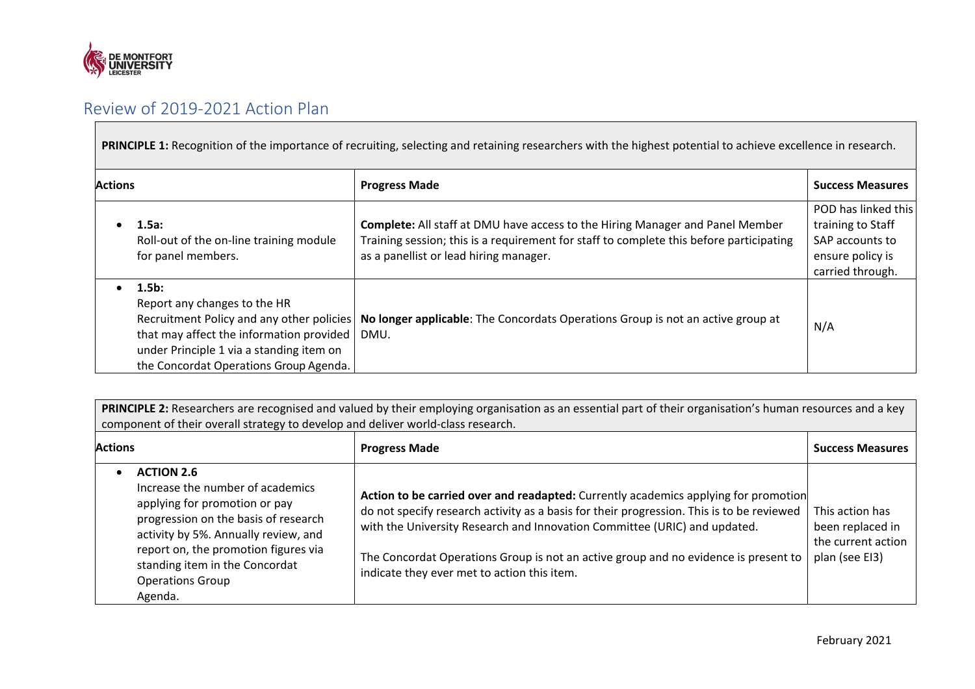

## Review of 2019-2021 Action Plan

PRINCIPLE 1: Recognition of the importance of recruiting, selecting and retaining researchers with the highest potential to achieve excellence in research.

| <b>Actions</b> |                                                                                                                                                                                                                         | <b>Progress Made</b>                                                                                                                                                                                                      | <b>Success Measures</b>                                                                             |
|----------------|-------------------------------------------------------------------------------------------------------------------------------------------------------------------------------------------------------------------------|---------------------------------------------------------------------------------------------------------------------------------------------------------------------------------------------------------------------------|-----------------------------------------------------------------------------------------------------|
|                | $1.5a$ :<br>Roll-out of the on-line training module<br>for panel members.                                                                                                                                               | <b>Complete:</b> All staff at DMU have access to the Hiring Manager and Panel Member<br>Training session; this is a requirement for staff to complete this before participating<br>as a panellist or lead hiring manager. | POD has linked this<br>training to Staff<br>SAP accounts to<br>ensure policy is<br>carried through. |
|                | $1.5b$ :<br>Report any changes to the HR<br>Recruitment Policy and any other policies<br>that may affect the information provided<br>under Principle 1 via a standing item on<br>the Concordat Operations Group Agenda. | No longer applicable: The Concordats Operations Group is not an active group at<br>DMU.                                                                                                                                   | N/A                                                                                                 |

PRINCIPLE 2: Researchers are recognised and valued by their employing organisation as an essential part of their organisation's human resources and a key component of their overall strategy to develop and deliver world-class research.

| <b>Actions</b>                                                                                                                                                                                                                                                                         | <b>Progress Made</b>                                                                                                                                                                                                                                                                                                                                                                                | <b>Success Measures</b>                                                     |
|----------------------------------------------------------------------------------------------------------------------------------------------------------------------------------------------------------------------------------------------------------------------------------------|-----------------------------------------------------------------------------------------------------------------------------------------------------------------------------------------------------------------------------------------------------------------------------------------------------------------------------------------------------------------------------------------------------|-----------------------------------------------------------------------------|
| <b>ACTION 2.6</b><br>Increase the number of academics<br>applying for promotion or pay<br>progression on the basis of research<br>activity by 5%. Annually review, and<br>report on, the promotion figures via<br>standing item in the Concordat<br><b>Operations Group</b><br>Agenda. | Action to be carried over and readapted: Currently academics applying for promotion<br>do not specify research activity as a basis for their progression. This is to be reviewed<br>with the University Research and Innovation Committee (URIC) and updated.<br>The Concordat Operations Group is not an active group and no evidence is present to<br>indicate they ever met to action this item. | This action has<br>been replaced in<br>the current action<br>plan (see EI3) |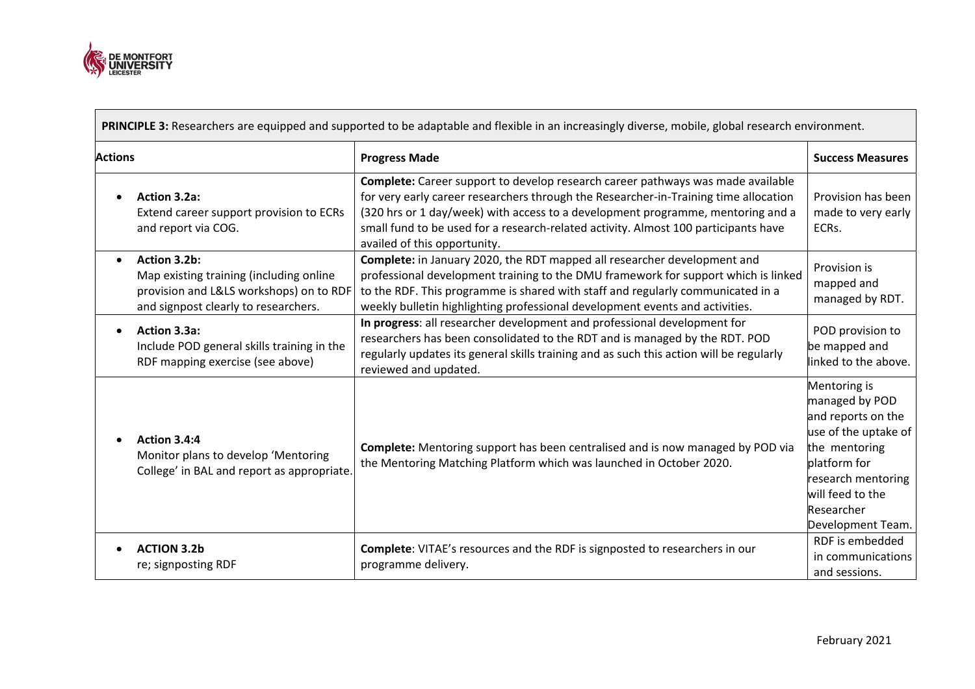

 $\mathcal{L}_{\text{max}}$ 

|                | PRINCIPLE 3: Researchers are equipped and supported to be adaptable and flexible in an increasingly diverse, mobile, global research environment. |                                                                                                                                                                                                                                                                                                                                                                                   |                                                                                                                                                                                            |  |
|----------------|---------------------------------------------------------------------------------------------------------------------------------------------------|-----------------------------------------------------------------------------------------------------------------------------------------------------------------------------------------------------------------------------------------------------------------------------------------------------------------------------------------------------------------------------------|--------------------------------------------------------------------------------------------------------------------------------------------------------------------------------------------|--|
| <b>Actions</b> |                                                                                                                                                   | <b>Progress Made</b>                                                                                                                                                                                                                                                                                                                                                              | <b>Success Measures</b>                                                                                                                                                                    |  |
| $\bullet$      | <b>Action 3.2a:</b><br>Extend career support provision to ECRs<br>and report via COG.                                                             | Complete: Career support to develop research career pathways was made available<br>for very early career researchers through the Researcher-in-Training time allocation<br>(320 hrs or 1 day/week) with access to a development programme, mentoring and a<br>small fund to be used for a research-related activity. Almost 100 participants have<br>availed of this opportunity. | Provision has been<br>made to very early<br>ECRs.                                                                                                                                          |  |
| $\bullet$      | Action 3.2b:<br>Map existing training (including online<br>provision and L&LS workshops) on to RDF<br>and signpost clearly to researchers.        | Complete: in January 2020, the RDT mapped all researcher development and<br>professional development training to the DMU framework for support which is linked<br>to the RDF. This programme is shared with staff and regularly communicated in a<br>weekly bulletin highlighting professional development events and activities.                                                 | Provision is<br>mapped and<br>managed by RDT.                                                                                                                                              |  |
| $\bullet$      | Action 3.3a:<br>Include POD general skills training in the<br>RDF mapping exercise (see above)                                                    | In progress: all researcher development and professional development for<br>researchers has been consolidated to the RDT and is managed by the RDT. POD<br>regularly updates its general skills training and as such this action will be regularly<br>reviewed and updated.                                                                                                       | POD provision to<br>be mapped and<br>linked to the above.                                                                                                                                  |  |
|                | Action 3.4:4<br>Monitor plans to develop 'Mentoring<br>College' in BAL and report as appropriate.                                                 | Complete: Mentoring support has been centralised and is now managed by POD via<br>the Mentoring Matching Platform which was launched in October 2020.                                                                                                                                                                                                                             | Mentoring is<br>managed by POD<br>and reports on the<br>use of the uptake of<br>the mentoring<br>platform for<br>research mentoring<br>will feed to the<br>Researcher<br>Development Team. |  |
| $\bullet$      | <b>ACTION 3.2b</b><br>re; signposting RDF                                                                                                         | Complete: VITAE's resources and the RDF is signposted to researchers in our<br>programme delivery.                                                                                                                                                                                                                                                                                | RDF is embedded<br>in communications<br>and sessions.                                                                                                                                      |  |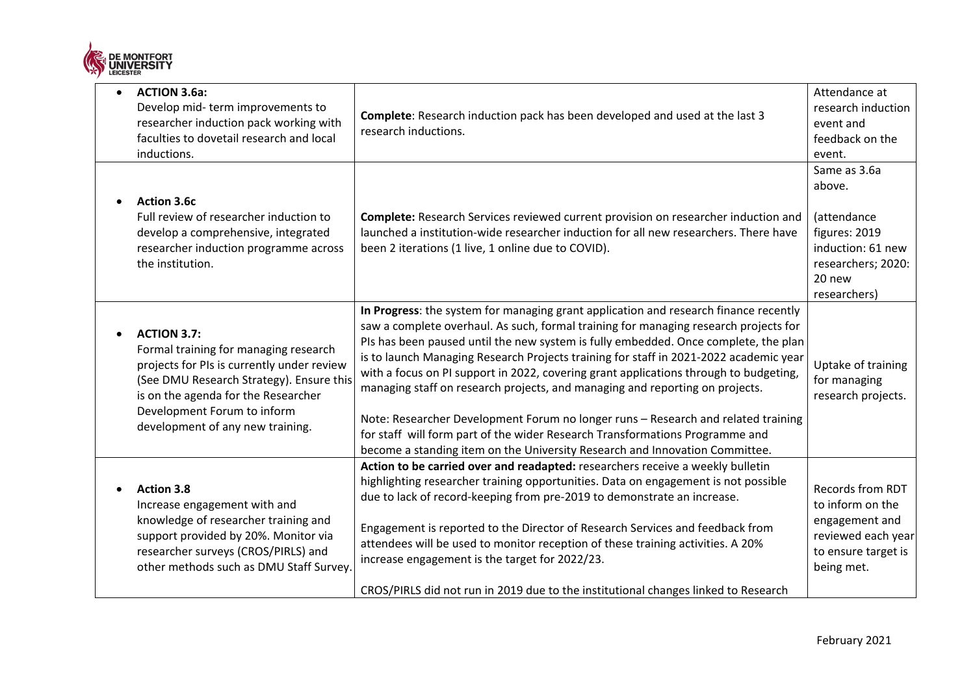

| <b>ACTION 3.6a:</b><br>Develop mid-term improvements to<br>researcher induction pack working with<br>faculties to dovetail research and local<br>inductions.                                                                                                    | Complete: Research induction pack has been developed and used at the last 3<br>research inductions.                                                                                                                                                                                                                                                                                                                                                                                                                                                                                                                                                                                                                                                                                       | Attendance at<br>research induction<br>event and<br>feedback on the<br>event.                                               |
|-----------------------------------------------------------------------------------------------------------------------------------------------------------------------------------------------------------------------------------------------------------------|-------------------------------------------------------------------------------------------------------------------------------------------------------------------------------------------------------------------------------------------------------------------------------------------------------------------------------------------------------------------------------------------------------------------------------------------------------------------------------------------------------------------------------------------------------------------------------------------------------------------------------------------------------------------------------------------------------------------------------------------------------------------------------------------|-----------------------------------------------------------------------------------------------------------------------------|
| <b>Action 3.6c</b><br>Full review of researcher induction to<br>develop a comprehensive, integrated<br>researcher induction programme across<br>the institution.                                                                                                | Complete: Research Services reviewed current provision on researcher induction and<br>launched a institution-wide researcher induction for all new researchers. There have<br>been 2 iterations (1 live, 1 online due to COVID).                                                                                                                                                                                                                                                                                                                                                                                                                                                                                                                                                          | Same as 3.6a<br>above.<br>(attendance<br>figures: 2019<br>induction: 61 new<br>researchers; 2020:<br>20 new<br>researchers) |
| <b>ACTION 3.7:</b><br>Formal training for managing research<br>projects for PIs is currently under review<br>(See DMU Research Strategy). Ensure this<br>is on the agenda for the Researcher<br>Development Forum to inform<br>development of any new training. | In Progress: the system for managing grant application and research finance recently<br>saw a complete overhaul. As such, formal training for managing research projects for<br>PIs has been paused until the new system is fully embedded. Once complete, the plan<br>is to launch Managing Research Projects training for staff in 2021-2022 academic year<br>with a focus on PI support in 2022, covering grant applications through to budgeting,<br>managing staff on research projects, and managing and reporting on projects.<br>Note: Researcher Development Forum no longer runs - Research and related training<br>for staff will form part of the wider Research Transformations Programme and<br>become a standing item on the University Research and Innovation Committee. | Uptake of training<br>for managing<br>research projects.                                                                    |
| <b>Action 3.8</b><br>Increase engagement with and<br>knowledge of researcher training and<br>support provided by 20%. Monitor via<br>researcher surveys (CROS/PIRLS) and<br>other methods such as DMU Staff Survey.                                             | Action to be carried over and readapted: researchers receive a weekly bulletin<br>highlighting researcher training opportunities. Data on engagement is not possible<br>due to lack of record-keeping from pre-2019 to demonstrate an increase.<br>Engagement is reported to the Director of Research Services and feedback from<br>attendees will be used to monitor reception of these training activities. A 20%<br>increase engagement is the target for 2022/23.<br>CROS/PIRLS did not run in 2019 due to the institutional changes linked to Research                                                                                                                                                                                                                               | <b>Records from RDT</b><br>to inform on the<br>engagement and<br>reviewed each year<br>to ensure target is<br>being met.    |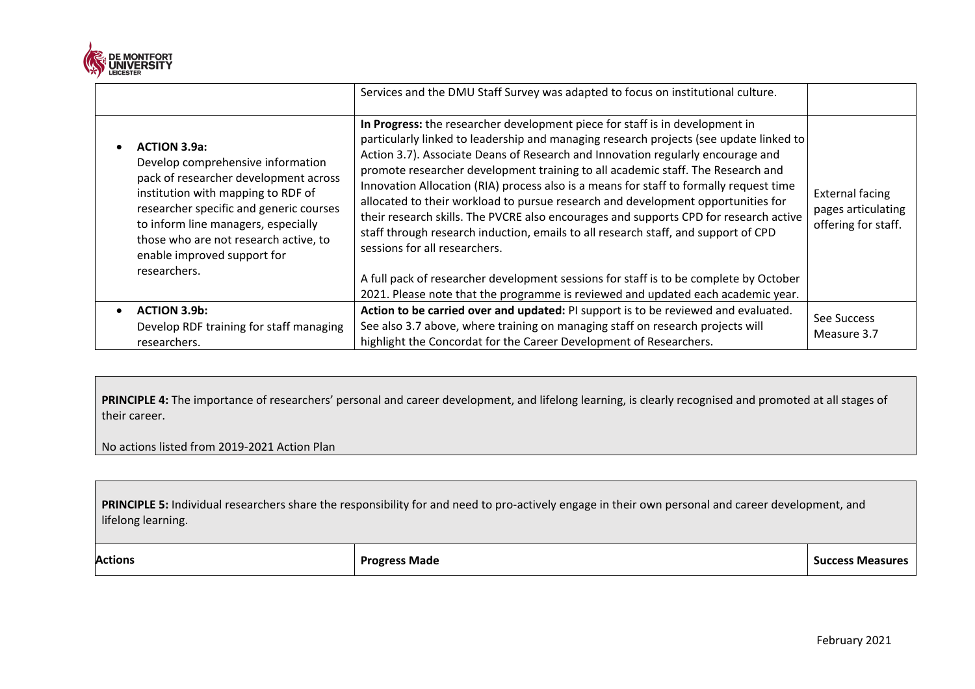

|                                                                                                                                                                                                                                                                                                                   | Services and the DMU Staff Survey was adapted to focus on institutional culture.                                                                                                                                                                                                                                                                                                                                                                                                                                                                                                                                                                                                                                                                                                                                                                                                                                        |                                                                     |
|-------------------------------------------------------------------------------------------------------------------------------------------------------------------------------------------------------------------------------------------------------------------------------------------------------------------|-------------------------------------------------------------------------------------------------------------------------------------------------------------------------------------------------------------------------------------------------------------------------------------------------------------------------------------------------------------------------------------------------------------------------------------------------------------------------------------------------------------------------------------------------------------------------------------------------------------------------------------------------------------------------------------------------------------------------------------------------------------------------------------------------------------------------------------------------------------------------------------------------------------------------|---------------------------------------------------------------------|
| <b>ACTION 3.9a:</b><br>Develop comprehensive information<br>pack of researcher development across<br>institution with mapping to RDF of<br>researcher specific and generic courses<br>to inform line managers, especially<br>those who are not research active, to<br>enable improved support for<br>researchers. | In Progress: the researcher development piece for staff is in development in<br>particularly linked to leadership and managing research projects (see update linked to<br>Action 3.7). Associate Deans of Research and Innovation regularly encourage and<br>promote researcher development training to all academic staff. The Research and<br>Innovation Allocation (RIA) process also is a means for staff to formally request time<br>allocated to their workload to pursue research and development opportunities for<br>their research skills. The PVCRE also encourages and supports CPD for research active<br>staff through research induction, emails to all research staff, and support of CPD<br>sessions for all researchers.<br>A full pack of researcher development sessions for staff is to be complete by October<br>2021. Please note that the programme is reviewed and updated each academic year. | <b>External facing</b><br>pages articulating<br>offering for staff. |
| <b>ACTION 3.9b:</b>                                                                                                                                                                                                                                                                                               | Action to be carried over and updated: PI support is to be reviewed and evaluated.                                                                                                                                                                                                                                                                                                                                                                                                                                                                                                                                                                                                                                                                                                                                                                                                                                      |                                                                     |
| Develop RDF training for staff managing                                                                                                                                                                                                                                                                           | See also 3.7 above, where training on managing staff on research projects will                                                                                                                                                                                                                                                                                                                                                                                                                                                                                                                                                                                                                                                                                                                                                                                                                                          | See Success<br>Measure 3.7                                          |
| researchers.                                                                                                                                                                                                                                                                                                      | highlight the Concordat for the Career Development of Researchers.                                                                                                                                                                                                                                                                                                                                                                                                                                                                                                                                                                                                                                                                                                                                                                                                                                                      |                                                                     |

PRINCIPLE 4: The importance of researchers' personal and career development, and lifelong learning, is clearly recognised and promoted at all stages of their career.

No actions listed from 2019-2021 Action Plan

**PRINCIPLE 5:** Individual researchers share the responsibility for and need to pro-actively engage in their own personal and career development, and lifelong learning.

Actions **Progress Made Progress Made Progress Made Success Measures**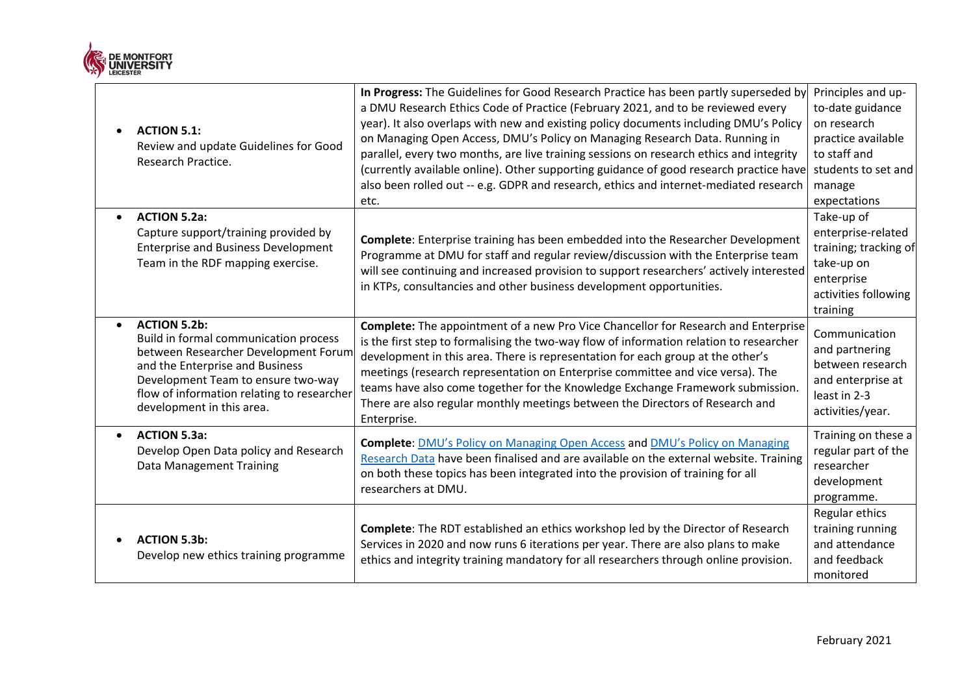

|           | <b>ACTION 5.1:</b><br>Review and update Guidelines for Good<br>Research Practice.                                                                                                                                                                        | In Progress: The Guidelines for Good Research Practice has been partly superseded by<br>a DMU Research Ethics Code of Practice (February 2021, and to be reviewed every<br>year). It also overlaps with new and existing policy documents including DMU's Policy<br>on Managing Open Access, DMU's Policy on Managing Research Data. Running in<br>parallel, every two months, are live training sessions on research ethics and integrity<br>(currently available online). Other supporting guidance of good research practice have<br>also been rolled out -- e.g. GDPR and research, ethics and internet-mediated research<br>etc. | Principles and up-<br>to-date guidance<br>on research<br>practice available<br>to staff and<br>students to set and<br>manage<br>expectations |
|-----------|----------------------------------------------------------------------------------------------------------------------------------------------------------------------------------------------------------------------------------------------------------|---------------------------------------------------------------------------------------------------------------------------------------------------------------------------------------------------------------------------------------------------------------------------------------------------------------------------------------------------------------------------------------------------------------------------------------------------------------------------------------------------------------------------------------------------------------------------------------------------------------------------------------|----------------------------------------------------------------------------------------------------------------------------------------------|
|           | <b>ACTION 5.2a:</b><br>Capture support/training provided by<br><b>Enterprise and Business Development</b><br>Team in the RDF mapping exercise.                                                                                                           | <b>Complete:</b> Enterprise training has been embedded into the Researcher Development<br>Programme at DMU for staff and regular review/discussion with the Enterprise team<br>will see continuing and increased provision to support researchers' actively interested<br>in KTPs, consultancies and other business development opportunities.                                                                                                                                                                                                                                                                                        | Take-up of<br>enterprise-related<br>training; tracking of<br>take-up on<br>enterprise<br>activities following<br>training                    |
| $\bullet$ | <b>ACTION 5.2b:</b><br>Build in formal communication process<br>between Researcher Development Forum<br>and the Enterprise and Business<br>Development Team to ensure two-way<br>flow of information relating to researcher<br>development in this area. | <b>Complete:</b> The appointment of a new Pro Vice Chancellor for Research and Enterprise<br>is the first step to formalising the two-way flow of information relation to researcher<br>development in this area. There is representation for each group at the other's<br>meetings (research representation on Enterprise committee and vice versa). The<br>teams have also come together for the Knowledge Exchange Framework submission.<br>There are also regular monthly meetings between the Directors of Research and<br>Enterprise.                                                                                           | Communication<br>and partnering<br>between research<br>and enterprise at<br>least in 2-3<br>activities/year.                                 |
|           | <b>ACTION 5.3a:</b><br>Develop Open Data policy and Research<br><b>Data Management Training</b>                                                                                                                                                          | Complete: <b>DMU's Policy on Managing Open Access and DMU's Policy on Managing</b><br>Research Data have been finalised and are available on the external website. Training<br>on both these topics has been integrated into the provision of training for all<br>researchers at DMU.                                                                                                                                                                                                                                                                                                                                                 | Training on these a<br>regular part of the<br>researcher<br>development<br>programme.                                                        |
|           | <b>ACTION 5.3b:</b><br>Develop new ethics training programme                                                                                                                                                                                             | Complete: The RDT established an ethics workshop led by the Director of Research<br>Services in 2020 and now runs 6 iterations per year. There are also plans to make<br>ethics and integrity training mandatory for all researchers through online provision.                                                                                                                                                                                                                                                                                                                                                                        | Regular ethics<br>training running<br>and attendance<br>and feedback<br>monitored                                                            |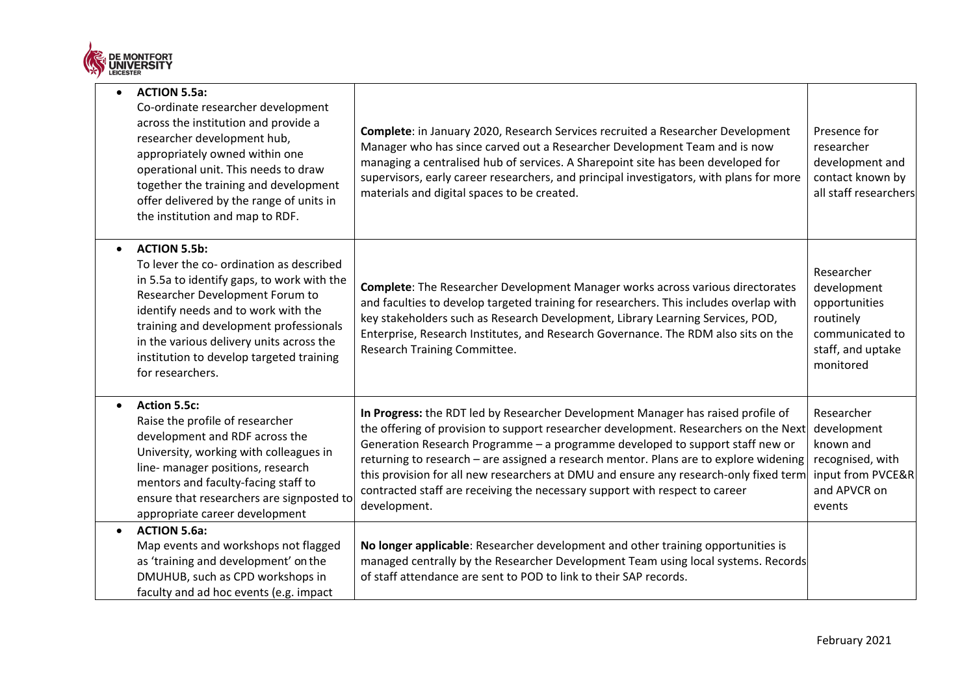

|           | <b>ACTION 5.5a:</b><br>Co-ordinate researcher development<br>across the institution and provide a<br>researcher development hub,<br>appropriately owned within one<br>operational unit. This needs to draw<br>together the training and development<br>offer delivered by the range of units in<br>the institution and map to RDF.            | Complete: in January 2020, Research Services recruited a Researcher Development<br>Manager who has since carved out a Researcher Development Team and is now<br>managing a centralised hub of services. A Sharepoint site has been developed for<br>supervisors, early career researchers, and principal investigators, with plans for more<br>materials and digital spaces to be created.                                                                                                                                                 | Presence for<br>researcher<br>development and<br>contact known by<br>all staff researchers                   |
|-----------|-----------------------------------------------------------------------------------------------------------------------------------------------------------------------------------------------------------------------------------------------------------------------------------------------------------------------------------------------|--------------------------------------------------------------------------------------------------------------------------------------------------------------------------------------------------------------------------------------------------------------------------------------------------------------------------------------------------------------------------------------------------------------------------------------------------------------------------------------------------------------------------------------------|--------------------------------------------------------------------------------------------------------------|
|           | <b>ACTION 5.5b:</b><br>To lever the co- ordination as described<br>in 5.5a to identify gaps, to work with the<br>Researcher Development Forum to<br>identify needs and to work with the<br>training and development professionals<br>in the various delivery units across the<br>institution to develop targeted training<br>for researchers. | <b>Complete:</b> The Researcher Development Manager works across various directorates<br>and faculties to develop targeted training for researchers. This includes overlap with<br>key stakeholders such as Research Development, Library Learning Services, POD,<br>Enterprise, Research Institutes, and Research Governance. The RDM also sits on the<br>Research Training Committee.                                                                                                                                                    | Researcher<br>development<br>opportunities<br>routinely<br>communicated to<br>staff, and uptake<br>monitored |
| $\bullet$ | <b>Action 5.5c:</b><br>Raise the profile of researcher<br>development and RDF across the<br>University, working with colleagues in<br>line- manager positions, research<br>mentors and faculty-facing staff to<br>ensure that researchers are signposted to<br>appropriate career development                                                 | In Progress: the RDT led by Researcher Development Manager has raised profile of<br>the offering of provision to support researcher development. Researchers on the Next<br>Generation Research Programme - a programme developed to support staff new or<br>returning to research - are assigned a research mentor. Plans are to explore widening<br>this provision for all new researchers at DMU and ensure any research-only fixed term<br>contracted staff are receiving the necessary support with respect to career<br>development. | Researcher<br>development<br>known and<br>recognised, with<br>input from PVCE&R<br>and APVCR on<br>events    |
|           | <b>ACTION 5.6a:</b><br>Map events and workshops not flagged<br>as 'training and development' on the<br>DMUHUB, such as CPD workshops in<br>faculty and ad hoc events (e.g. impact                                                                                                                                                             | No longer applicable: Researcher development and other training opportunities is<br>managed centrally by the Researcher Development Team using local systems. Records<br>of staff attendance are sent to POD to link to their SAP records.                                                                                                                                                                                                                                                                                                 |                                                                                                              |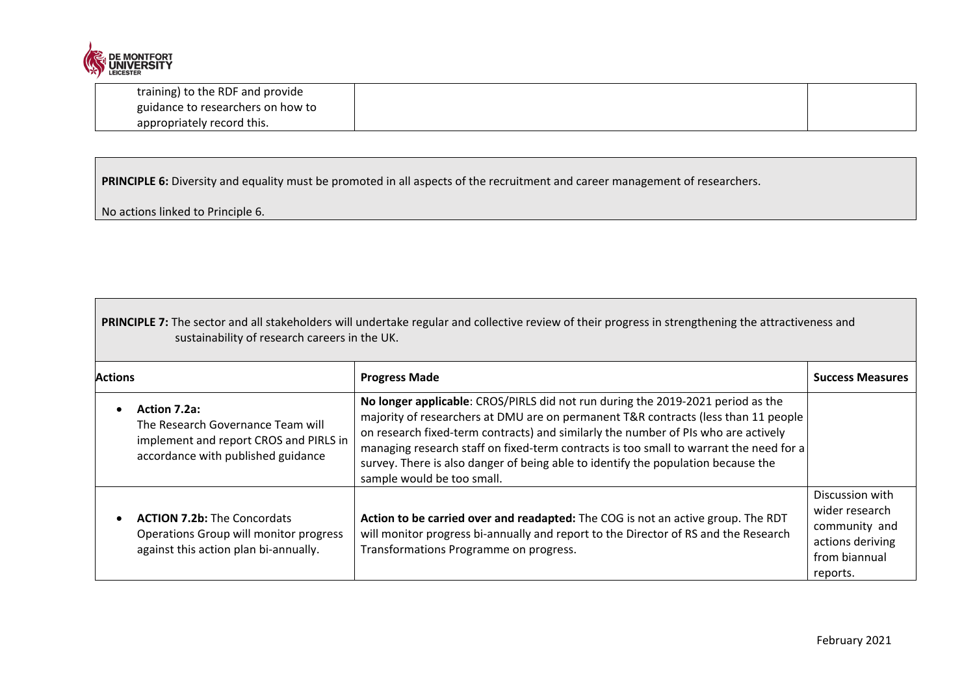

| training) to the RDF and provide  |  |
|-----------------------------------|--|
| guidance to researchers on how to |  |
| appropriately record this.        |  |

**PRINCIPLE 6:** Diversity and equality must be promoted in all aspects of the recruitment and career management of researchers.

No actions linked to Principle 6.

**PRINCIPLE 7:** The sector and all stakeholders will undertake regular and collective review of their progress in strengthening the attractiveness and sustainability of research careers in the UK.

| <b>Actions</b> |                                                                                                                                   | <b>Progress Made</b>                                                                                                                                                                                                                                                                                                                                                                                                                                                     | <b>Success Measures</b>                                                                             |
|----------------|-----------------------------------------------------------------------------------------------------------------------------------|--------------------------------------------------------------------------------------------------------------------------------------------------------------------------------------------------------------------------------------------------------------------------------------------------------------------------------------------------------------------------------------------------------------------------------------------------------------------------|-----------------------------------------------------------------------------------------------------|
|                | Action 7.2a:<br>The Research Governance Team will<br>implement and report CROS and PIRLS in<br>accordance with published guidance | No longer applicable: CROS/PIRLS did not run during the 2019-2021 period as the<br>majority of researchers at DMU are on permanent T&R contracts (less than 11 people<br>on research fixed-term contracts) and similarly the number of PIs who are actively<br>managing research staff on fixed-term contracts is too small to warrant the need for a<br>survey. There is also danger of being able to identify the population because the<br>sample would be too small. |                                                                                                     |
|                | <b>ACTION 7.2b:</b> The Concordats<br>Operations Group will monitor progress<br>against this action plan bi-annually.             | Action to be carried over and readapted: The COG is not an active group. The RDT<br>will monitor progress bi-annually and report to the Director of RS and the Research<br>Transformations Programme on progress.                                                                                                                                                                                                                                                        | Discussion with<br>wider research<br>community and<br>actions deriving<br>from biannual<br>reports. |